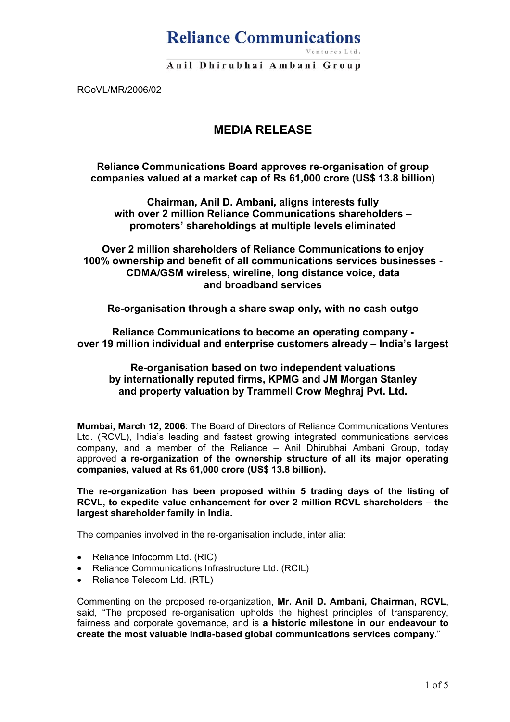# **Reliance Communications**

Anil Dhirubhai Ambani Group

RCoVL/MR/2006/02

## **MEDIA RELEASE**

**Reliance Communications Board approves re-organisation of group companies valued at a market cap of Rs 61,000 crore (US\$ 13.8 billion)** 

**Chairman, Anil D. Ambani, aligns interests fully with over 2 million Reliance Communications shareholders – promoters' shareholdings at multiple levels eliminated** 

**Over 2 million shareholders of Reliance Communications to enjoy 100% ownership and benefit of all communications services businesses - CDMA/GSM wireless, wireline, long distance voice, data and broadband services** 

**Re-organisation through a share swap only, with no cash outgo** 

**Reliance Communications to become an operating company over 19 million individual and enterprise customers already – India's largest** 

**Re-organisation based on two independent valuations by internationally reputed firms, KPMG and JM Morgan Stanley and property valuation by Trammell Crow Meghraj Pvt. Ltd.**

**Mumbai, March 12, 2006**: The Board of Directors of Reliance Communications Ventures Ltd. (RCVL), India's leading and fastest growing integrated communications services company, and a member of the Reliance – Anil Dhirubhai Ambani Group, today approved **a re-organization of the ownership structure of all its major operating companies, valued at Rs 61,000 crore (US\$ 13.8 billion).** 

**The re-organization has been proposed within 5 trading days of the listing of RCVL, to expedite value enhancement for over 2 million RCVL shareholders – the largest shareholder family in India.** 

The companies involved in the re-organisation include, inter alia:

- Reliance Infocomm Ltd. (RIC)
- Reliance Communications Infrastructure Ltd. (RCIL)
- Reliance Telecom Ltd. (RTL)

Commenting on the proposed re-organization, **Mr. Anil D. Ambani, Chairman, RCVL**, said, "The proposed re-organisation upholds the highest principles of transparency, fairness and corporate governance, and is **a historic milestone in our endeavour to create the most valuable India-based global communications services company**."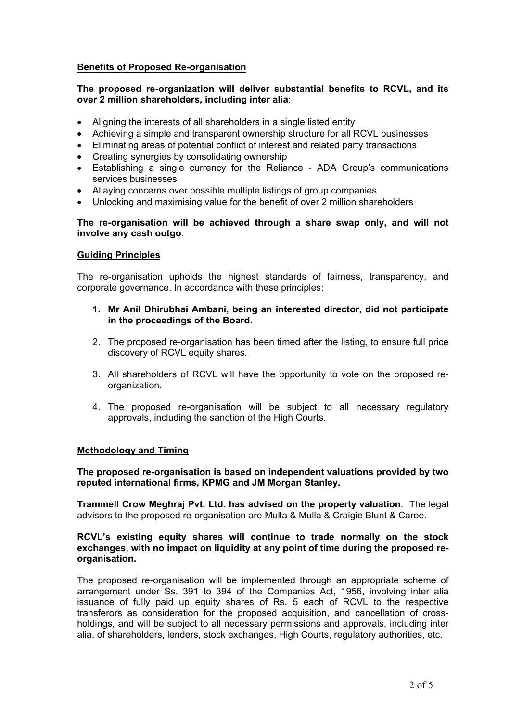## **Benefits of Proposed Re-organisation**

## **The proposed re-organization will deliver substantial benefits to RCVL, and its over 2 million shareholders, including inter alia**:

- Aligning the interests of all shareholders in a single listed entity
- Achieving a simple and transparent ownership structure for all RCVL businesses
- Eliminating areas of potential conflict of interest and related party transactions
- Creating synergies by consolidating ownership
- Establishing a single currency for the Reliance ADA Group's communications services businesses
- Allaying concerns over possible multiple listings of group companies
- Unlocking and maximising value for the benefit of over 2 million shareholders

### **The re-organisation will be achieved through a share swap only, and will not involve any cash outgo.**

#### **Guiding Principles**

The re-organisation upholds the highest standards of fairness, transparency, and corporate governance. In accordance with these principles:

- **1. Mr Anil Dhirubhai Ambani, being an interested director, did not participate in the proceedings of the Board.**
- 2. The proposed re-organisation has been timed after the listing, to ensure full price discovery of RCVL equity shares.
- 3. All shareholders of RCVL will have the opportunity to vote on the proposed reorganization.
- 4. The proposed re-organisation will be subject to all necessary regulatory approvals, including the sanction of the High Courts.

#### **Methodology and Timing**

**The proposed re-organisation is based on independent valuations provided by two reputed international firms, KPMG and JM Morgan Stanley.**

**Trammell Crow Meghraj Pvt. Ltd. has advised on the property valuation**. The legal advisors to the proposed re-organisation are Mulla & Mulla & Craigie Blunt & Caroe.

## **RCVL's existing equity shares will continue to trade normally on the stock exchanges, with no impact on liquidity at any point of time during the proposed reorganisation.**

The proposed re-organisation will be implemented through an appropriate scheme of arrangement under Ss. 391 to 394 of the Companies Act, 1956, involving inter alia issuance of fully paid up equity shares of Rs. 5 each of RCVL to the respective transferors as consideration for the proposed acquisition, and cancellation of crossholdings, and will be subject to all necessary permissions and approvals, including inter alia, of shareholders, lenders, stock exchanges, High Courts, regulatory authorities, etc.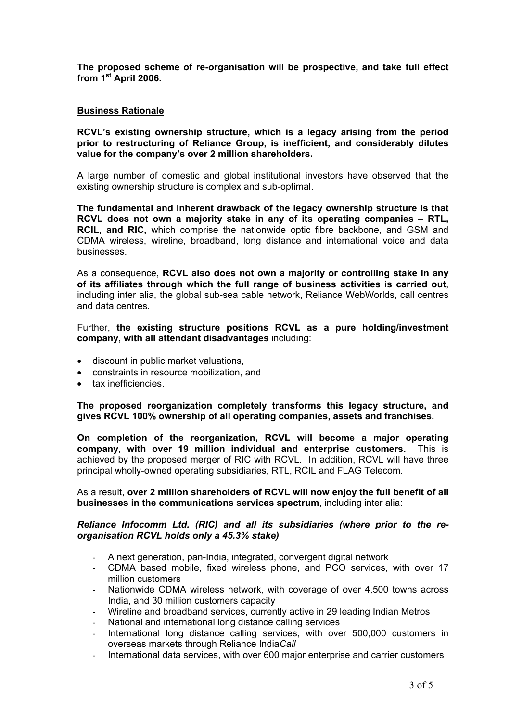**The proposed scheme of re-organisation will be prospective, and take full effect from 1st April 2006.** 

## **Business Rationale**

**RCVL's existing ownership structure, which is a legacy arising from the period prior to restructuring of Reliance Group, is inefficient, and considerably dilutes value for the company's over 2 million shareholders.** 

A large number of domestic and global institutional investors have observed that the existing ownership structure is complex and sub-optimal.

**The fundamental and inherent drawback of the legacy ownership structure is that RCVL does not own a majority stake in any of its operating companies – RTL, RCIL, and RIC,** which comprise the nationwide optic fibre backbone, and GSM and CDMA wireless, wireline, broadband, long distance and international voice and data businesses.

As a consequence, **RCVL also does not own a majority or controlling stake in any of its affiliates through which the full range of business activities is carried out**, including inter alia, the global sub-sea cable network, Reliance WebWorlds, call centres and data centres.

Further, **the existing structure positions RCVL as a pure holding/investment company, with all attendant disadvantages** including:

- discount in public market valuations,
- constraints in resource mobilization, and
- tax inefficiencies.

**The proposed reorganization completely transforms this legacy structure, and gives RCVL 100% ownership of all operating companies, assets and franchises.** 

**On completion of the reorganization, RCVL will become a major operating company, with over 19 million individual and enterprise customers.** This is achieved by the proposed merger of RIC with RCVL. In addition, RCVL will have three principal wholly-owned operating subsidiaries, RTL, RCIL and FLAG Telecom.

As a result, **over 2 million shareholders of RCVL will now enjoy the full benefit of all businesses in the communications services spectrum**, including inter alia:

## *Reliance Infocomm Ltd. (RIC) and all its subsidiaries (where prior to the reorganisation RCVL holds only a 45.3% stake)*

- A next generation, pan-India, integrated, convergent digital network
- CDMA based mobile, fixed wireless phone, and PCO services, with over 17 million customers
- Nationwide CDMA wireless network, with coverage of over 4,500 towns across India, and 30 million customers capacity
- Wireline and broadband services, currently active in 29 leading Indian Metros
- National and international long distance calling services
- International long distance calling services, with over 500,000 customers in overseas markets through Reliance India*Call*
- International data services, with over 600 major enterprise and carrier customers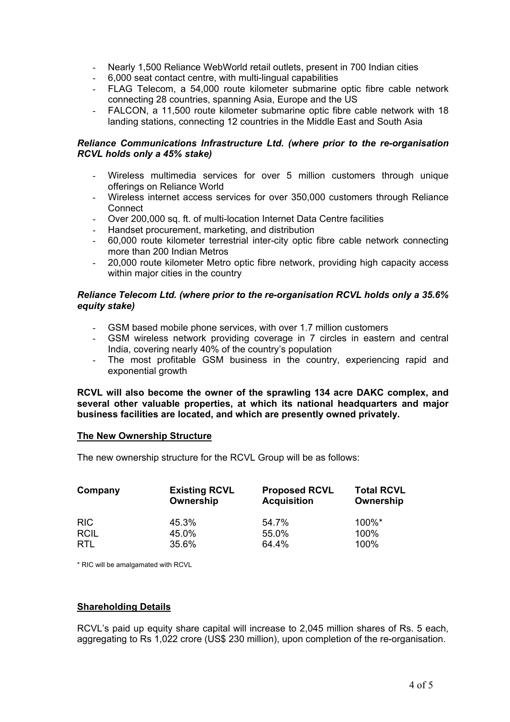- Nearly 1,500 Reliance WebWorld retail outlets, present in 700 Indian cities
- 6,000 seat contact centre, with multi-lingual capabilities
- FLAG Telecom, a 54,000 route kilometer submarine optic fibre cable network connecting 28 countries, spanning Asia, Europe and the US
- FALCON, a 11,500 route kilometer submarine optic fibre cable network with 18 landing stations, connecting 12 countries in the Middle East and South Asia

## *Reliance Communications Infrastructure Ltd. (where prior to the re-organisation RCVL holds only a 45% stake)*

- Wireless multimedia services for over 5 million customers through unique offerings on Reliance World
- Wireless internet access services for over 350,000 customers through Reliance **Connect**
- Over 200,000 sq. ft. of multi-location Internet Data Centre facilities
- Handset procurement, marketing, and distribution
- 60,000 route kilometer terrestrial inter-city optic fibre cable network connecting more than 200 Indian Metros
- 20,000 route kilometer Metro optic fibre network, providing high capacity access within major cities in the country

## *Reliance Telecom Ltd. (where prior to the re-organisation RCVL holds only a 35.6% equity stake)*

- GSM based mobile phone services, with over 1.7 million customers
- GSM wireless network providing coverage in 7 circles in eastern and central India, covering nearly 40% of the country's population
- The most profitable GSM business in the country, experiencing rapid and exponential growth

**RCVL will also become the owner of the sprawling 134 acre DAKC complex, and several other valuable properties, at which its national headquarters and major business facilities are located, and which are presently owned privately.**

#### **The New Ownership Structure**

The new ownership structure for the RCVL Group will be as follows:

| Company     | <b>Existing RCVL</b><br>Ownership | <b>Proposed RCVL</b><br><b>Acquisition</b> | <b>Total RCVL</b><br>Ownership |  |
|-------------|-----------------------------------|--------------------------------------------|--------------------------------|--|
| <b>RIC</b>  | 45.3%                             | 54.7%                                      | $100\%$ *                      |  |
| <b>RCIL</b> | 45.0%                             | 55.0%                                      | 100%                           |  |
| <b>RTL</b>  | 35.6%                             | 64.4%                                      | 100%                           |  |

\* RIC will be amalgamated with RCVL

## **Shareholding Details**

RCVL's paid up equity share capital will increase to 2,045 million shares of Rs. 5 each, aggregating to Rs 1,022 crore (US\$ 230 million), upon completion of the re-organisation.